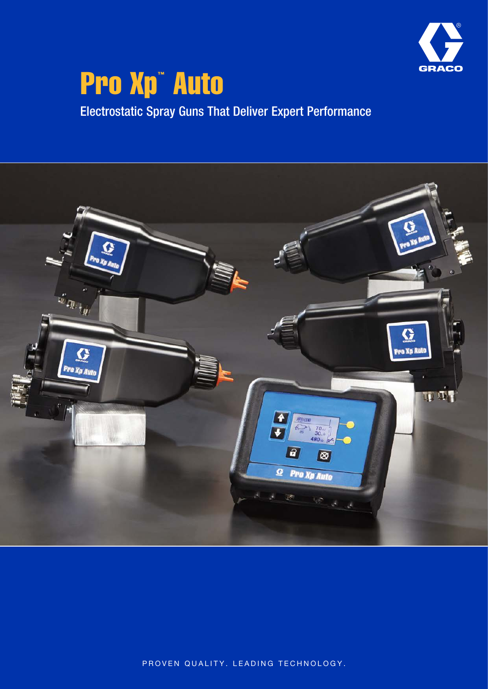

# **Pro Xp<sup>"</sup> Auto**

Electrostatic Spray Guns That Deliver Expert Performance



PROVEN QUALITY. LEADING TECHNOLOGY.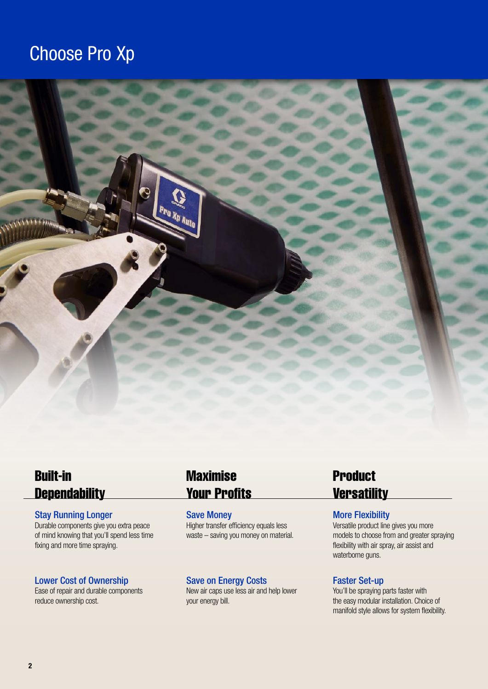## Choose Pro Xp



## Built-in **Dependability**

#### Stay Running Longer

Durable components give you extra peace of mind knowing that you'll spend less time fixing and more time spraying.

#### Lower Cost of Ownership

Ease of repair and durable components reduce ownership cost.

## Maximise Your Profits

Save Money Higher transfer efficiency equals less waste – saving you money on material.

#### Save on Energy Costs

New air caps use less air and help lower your energy bill.

## **Product Versatility**

#### More Flexibility

Versatile product line gives you more models to choose from and greater spraying flexibility with air spray, air assist and waterborne guns.

#### Faster Set-up

You'll be spraying parts faster with the easy modular installation. Choice of manifold style allows for system flexibility.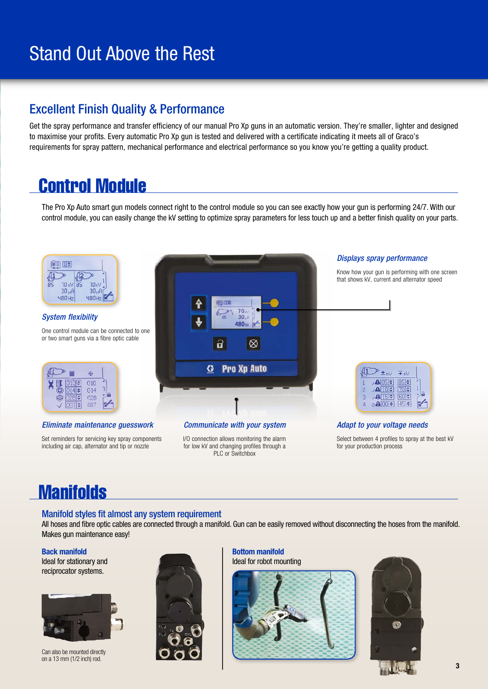## Stand Out Above the Rest

### Excellent Finish Quality & Performance

Get the spray performance and transfer efficiency of our manual Pro Xp guns in an automatic version. They're smaller, lighter and designed to maximise your profits. Every automatic Pro Xp gun is tested and delivered with a certificate indicating it meets all of Graco's requirements for spray pattern, mechanical performance and electrical performance so you know you're getting a quality product.

## Control Module

The Pro Xp Auto smart gun models connect right to the control module so you can see exactly how your gun is performing 24/7. With our control module, you can easily change the kV setting to optimize spray parameters for less touch up and a better finish quality on your parts.



Set reminders for servicing key spray components including air cap, alternator and tip or nozzle

I/O connection allows monitoring the alarm for low kV and changing profiles through a PLC or Switchbox

Select between 4 profiles to spray at the best kV for your production process

## **Manifolds**

#### Manifold styles fit almost any system requirement

All hoses and fibre optic cables are connected through a manifold. Gun can be easily removed without disconnecting the hoses from the manifold. Makes gun maintenance easy!

#### Back manifold

Ideal for stationary and reciprocator systems.



Can also be mounted directly on a 13 mm (1/2 inch) rod.



Bottom manifold

Ideal for robot mounting





3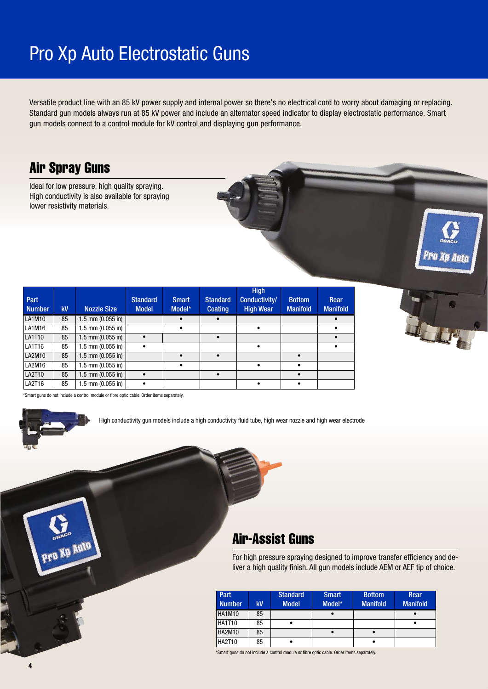## Pro Xp Auto Electrostatic Guns

Versatile product line with an 85 kV power supply and internal power so there's no electrical cord to worry about damaging or replacing. Standard gun models always run at 85 kV power and include an alternator speed indicator to display electrostatic performance. Smart gun models connect to a control module for kV control and displaying gun performance.

## Air Spray Guns

Ideal for low pressure, high quality spraying. High conductivity is also available for spraying lower resistivity materials.

| Part<br><b>Number</b> | kV | <b>Nozzle Size</b>    | <b>Standard</b><br><b>Model</b> | Smart<br>Model* | <b>Standard</b><br><b>Coating</b> | <b>High</b><br>Conductivity/<br><b>High Wear</b> | <b>Bottom</b><br><b>Manifold</b> | Rear<br><b>Manifold</b> |
|-----------------------|----|-----------------------|---------------------------------|-----------------|-----------------------------------|--------------------------------------------------|----------------------------------|-------------------------|
| LA1M10                | 85 | $1.5$ mm (0.055 in)   |                                 |                 |                                   |                                                  |                                  |                         |
| LA1M16                | 85 | $1.5$ mm $(0.055$ in) |                                 | $\bullet$       |                                   | $\bullet$                                        |                                  | $\bullet$               |
| LA1T10                | 85 | $1.5$ mm $(0.055$ in) |                                 |                 |                                   |                                                  |                                  |                         |
| LA1T16                | 85 | $1.5$ mm $(0.055$ in) |                                 |                 |                                   |                                                  |                                  |                         |
| LA2M10                | 85 | $1.5$ mm $(0.055$ in) |                                 | $\bullet$       | $\bullet$                         |                                                  |                                  |                         |
| LA2M16                | 85 | $1.5$ mm $(0.055$ in) |                                 | $\bullet$       |                                   | ٠                                                | ٠                                |                         |
| LA2T10                | 85 | $1.5$ mm $(0.055$ in) |                                 |                 | $\bullet$                         |                                                  |                                  |                         |
| LA2T16                | 85 | $1.5$ mm $(0.055$ in) |                                 |                 |                                   |                                                  |                                  |                         |



art guns do not include a control module or fibre optic cable. Order items separately



**ND Auto** 

High conductivity gun models include a high conductivity fluid tube, high wear nozzle and high wear electrode

### Air-Assist Guns

For high pressure spraying designed to improve transfer efficiency and deliver a high quality finish. All gun models include AEM or AEF tip of choice.

| Part<br><b>Number</b> | kV | <b>Standard</b><br><b>Model</b> | <b>Smart</b><br>Model* | <b>Bottom</b><br><b>Manifold</b> | Rear<br><b>Manifold</b> |
|-----------------------|----|---------------------------------|------------------------|----------------------------------|-------------------------|
| <b>HA1M10</b>         | 85 |                                 | $\bullet$              |                                  |                         |
| <b>HA1T10</b>         | 85 |                                 |                        |                                  |                         |
| HA2M10                | 85 |                                 |                        | $\bullet$                        |                         |
| <b>HA2T10</b>         | 85 |                                 |                        | ٠                                |                         |

\*Smart guns do not include a control module or fibre optic cable. Order items separately.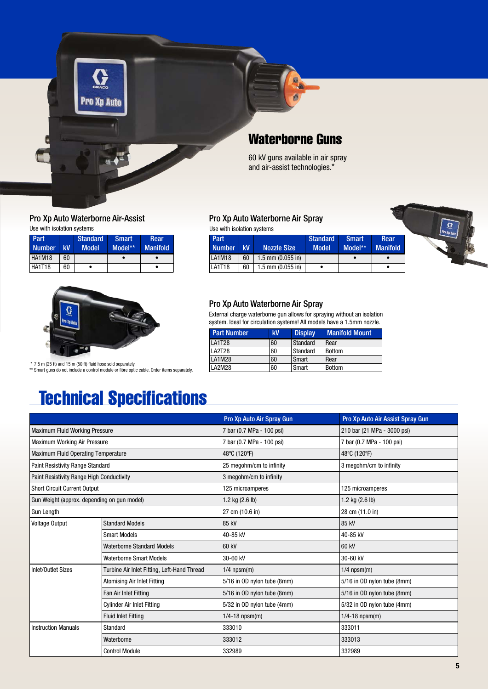

#### Pro Xp Auto Waterborne Air-Assist Use with isolation systems

| Part<br><b>Number</b> | kV | <b>Standard</b><br>Model | <b>Smart</b><br>Model** | Rear<br><b>Manifold</b> |
|-----------------------|----|--------------------------|-------------------------|-------------------------|
| <b>HA1M18</b>         | 60 |                          |                         |                         |
| <b>HA1T18</b>         | 60 |                          |                         |                         |



 \* 7.5 m (25 ft) and 15 m (50 ft) fluid hose sold separately. \*\* Smart guns do not include a control module or fibre optic cable. Order items separately.

## Technical Specifications

#### Pro Xp Auto Air Spray Gun Pro Xp Auto Air Assist Spray Gun Maximum Fluid Working Pressure 7 bar (21 MPa - 3000 psi) 210 bar (21 MPa - 3000 psi) Maximum Working Air Pressure The Contract of The Contract of Text (0.7 MPa - 100 psi) 7 bar (0.7 MPa - 100 psi) Maximum Fluid Operating Temperature 48°C (120°F) 48°C (120°F) 48°C (120°F) 48°C (120°F) Paint Resistivity Range Standard **25** megohm/cm to infinity **3** megohm/cm to infinity and a megohm/cm to infinity Paint Resistivity Range High Conductivity 3 megohm/cm to infinity Short Circuit Current Output 125 microamperes 125 microamperes Gun Weight (approx. depending on gun model)  $1.2 \text{ kg} (2.6 \text{ lb})$   $1.2 \text{ kg} (2.6 \text{ lb})$   $1.2 \text{ kg} (2.6 \text{ lb})$ Gun Length 27 cm (10.6 in) 28 cm (11.0 in) Voltage Output Standard Models 85 kV 85 kV Smart Models **40-85 kV** 40-85 kV Waterborne Standard Models **60 kV** 60 kV Waterborne Smart Models 30-60 kV 30-60 kV 30-60 kV Inlet/Outlet Sizes Turbine Air Inlet Fitting, Left-Hand Thread 1/4 npsm(m) 1/4 npsm(m) Atomising Air Inlet Fitting 5/16 in OD nylon tube (8mm) 5/16 in OD nylon tube (8mm) Fan Air Inlet Fitting 5/16 in OD nylon tube (8mm) 5/16 in OD nylon tube (8mm) Cylinder Air Inlet Fitting **Finder Air Inlet Fitting** 5/32 in OD nylon tube (4mm) 5/32 in OD nylon tube (4mm) Fluid Inlet Fitting 1/4-18 npsm(m) 1/4-18 npsm(m) Instruction Manuals Standard 333010 333011 Waterborne 333012 333013 Control Module 332989 332989

#### Pro Xp Auto Waterborne Air Spray

Use with isolation systems





#### Pro Xp Auto Waterborne Air Spray

External charge waterborne gun allows for spraying without an isolation system. Ideal for circulation systems! All models have a 1.5mm nozzle.

| <b>Part Number</b> | kV | <b>Display</b> | <b>Manifold Mount</b> |
|--------------------|----|----------------|-----------------------|
| <b>LA1T28</b>      | 60 | Standard       | Rear                  |
| <b>LA2T28</b>      | 60 | Standard       | <b>Bottom</b>         |
| <b>LA1M28</b>      | 60 | Smart          | Rear                  |
| LA2M28             | 60 | Smart          | <b>Bottom</b>         |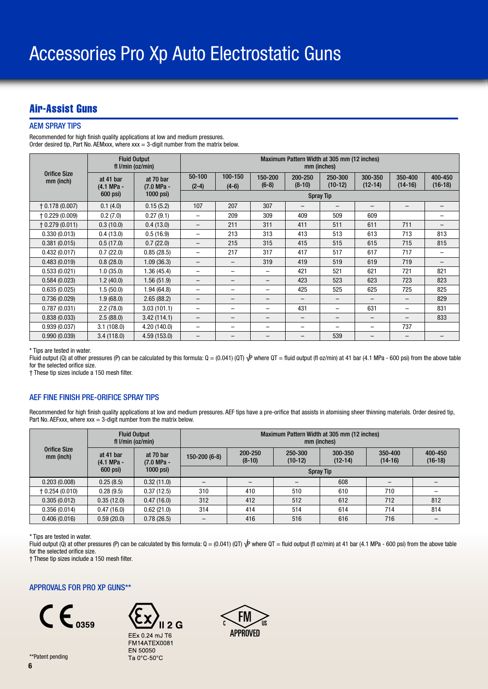### Air-Assist Guns

#### AEM SPRAY TIPS

Recommended for high finish quality applications at low and medium pressures. Order desired tip, Part No. AEMxxx, where  $xxx = 3$ -digit number from the matrix below.

|                                  |                         | <b>Fluid Output</b><br>fl $l/min$ (oz/min) | Maximum Pattern Width at 305 mm (12 inches)<br>mm (inches) |                    |                    |                     |                          |                      |                          |                          |
|----------------------------------|-------------------------|--------------------------------------------|------------------------------------------------------------|--------------------|--------------------|---------------------|--------------------------|----------------------|--------------------------|--------------------------|
| <b>Orifice Size</b><br>mm (inch) | at 41 bar<br>(4.1 MPa - | at 70 bar<br>(7.0 MPa -                    | 50-100<br>$(2-4)$                                          | 100-150<br>$(4-6)$ | 150-200<br>$(6-8)$ | 200-250<br>$(8-10)$ | 250-300<br>$(10-12)$     | 300-350<br>$(12-14)$ | 350-400<br>$(14-16)$     | 400-450<br>$(16-18)$     |
|                                  | 600 psi)                | $1000$ psi)                                |                                                            |                    |                    | <b>Spray Tip</b>    |                          |                      |                          |                          |
| $\uparrow$ 0.178 (0.007)         | 0.1(4.0)                | 0.15(5.2)                                  | 107                                                        | 207                | 307                |                     |                          |                      | -                        |                          |
| + 0.229 (0.009)                  | 0.2(7.0)                | 0.27(9.1)                                  | -                                                          | 209                | 309                | 409                 | 509                      | 609                  |                          |                          |
| $+0.279(0.011)$                  | 0.3(10.0)               | 0.4(13.0)                                  | $\equiv$                                                   | 211                | 311                | 411                 | 511                      | 611                  | 711                      | -                        |
| 0.330(0.013)                     | 0.4(13.0)               | 0.5(16.9)                                  | -                                                          | 213                | 313                | 413                 | 513                      | 613                  | 713                      | 813                      |
| 0.381(0.015)                     | 0.5(17.0)               | 0.7(22.0)                                  |                                                            | 215                | 315                | 415                 | 515                      | 615                  | 715                      | 815                      |
| 0.432(0.017)                     | 0.7(22.0)               | 0.85(28.5)                                 | $\overline{\phantom{0}}$                                   | 217                | 317                | 417                 | 517                      | 617                  | 717                      | $\overline{\phantom{0}}$ |
| 0.483(0.019)                     | 0.8(28.0)               | 1.09(36.3)                                 | $\qquad \qquad -$                                          | -                  | 319                | 419                 | 519                      | 619                  | 719                      |                          |
| 0.533(0.021)                     | 1.0(35.0)               | 1.36(45.4)                                 | $\overline{\phantom{0}}$                                   | -                  | -                  | 421                 | 521                      | 621                  | 721                      | 821                      |
| 0.584(0.023)                     | 1.2(40.0)               | 1.56(51.9)                                 | $\qquad \qquad -$                                          | -                  | -                  | 423                 | 523                      | 623                  | 723                      | 823                      |
| 0.635(0.025)                     | 1.5(50.0)               | 1.94(64.8)                                 | -                                                          | -                  | -                  | 425                 | 525                      | 625                  | 725                      | 825                      |
| 0.736(0.029)                     | 1.9(68.0)               | 2.65(88.2)                                 |                                                            |                    |                    |                     | $\qquad \qquad -$        | -                    | -                        | 829                      |
| 0.787(0.031)                     | 2.2(78.0)               | 3.03(101.1)                                | -                                                          | -                  | -                  | 431                 | $\overline{\phantom{0}}$ | 631                  | $\overline{\phantom{0}}$ | 831                      |
| 0.838(0.033)                     | 2.5(88.0)               | 3.42(114.1)                                | $\qquad \qquad -$                                          | -                  | -                  | -                   | $\qquad \qquad -$        | -                    | -                        | 833                      |
| 0.939(0.037)                     | 3.1(108.0)              | 4.20 (140.0)                               | -                                                          | -                  | -                  | -                   |                          | -                    | 737                      |                          |
| 0.990(0.039)                     | 3.4(118.0)              | 4.59 (153.0)                               | $\qquad \qquad -$                                          | -                  | -                  | -                   | 539                      | -                    | $\qquad \qquad$          |                          |

\* Tips are tested in water.

Fluid output (Q) at other pressures (P) can be calculated by this formula:  $Q = (0.041)$  (QT)  $\sqrt{P}$  where QT = fluid output (fl oz/min) at 41 bar (4.1 MPa - 600 psi) from the above table for the selected orifice size.

† These tip sizes include a 150 mesh filter.

#### AEF FINE FINISH PRE-ORIFICE SPRAY TIPS

Recommended for high finish quality applications at low and medium pressures. AEF tips have a pre-orifice that assists in atomising sheer thinning materials. Order desired tip, Part No. AEFxxx, where  $xxx = 3$ -digit number from the matrix below.

|                                  | <b>Fluid Output</b><br>fl $l/min$ (oz/min) |                                                    | Maximum Pattern Width at 305 mm (12 inches)<br>mm (inches) |                     |                      |                      |                      |                      |
|----------------------------------|--------------------------------------------|----------------------------------------------------|------------------------------------------------------------|---------------------|----------------------|----------------------|----------------------|----------------------|
| <b>Orifice Size</b><br>mm (inch) | at 41 bar<br>(4.1 MPa -                    | at 70 bar<br>(7.0 MPa -<br>$600$ psi)<br>1000 psi) | $150 - 200(6-8)$                                           | 200-250<br>$(8-10)$ | 250-300<br>$(10-12)$ | 300-350<br>$(12-14)$ | 350-400<br>$(14-16)$ | 400-450<br>$(16-18)$ |
|                                  |                                            |                                                    | <b>Spray Tip</b>                                           |                     |                      |                      |                      |                      |
| 0.203(0.008)                     | 0.25(8.5)                                  | 0.32(11.0)                                         |                                                            |                     |                      | 608                  |                      |                      |
| $\uparrow$ 0.254 (0.010)         | 0.28(9.5)                                  | 0.37(12.5)                                         | 310                                                        | 410                 | 510                  | 610                  | 710                  |                      |
| 0.305(0.012)                     | 0.35(12.0)                                 | 0.47(16.0)                                         | 312                                                        | 412                 | 512                  | 612                  | 712                  | 812                  |
| 0.356(0.014)                     | 0.47(16.0)                                 | 0.62(21.0)                                         | 314                                                        | 414                 | 514                  | 614                  | 714                  | 814                  |
| 0.406(0.016)                     | 0.59(20.0)                                 | 0.78(26.5)                                         |                                                            | 416                 | 516                  | 616                  | 716                  |                      |

\* Tips are tested in water.

Fluid output (Q) at other pressures (P) can be calculated by this formula: Q = (0.041) (QT)  $\sqrt{P}$  where QT = fluid output (fl oz/min) at 41 bar (4.1 MPa - 600 psi) from the above table for the selected orifice size.

† These tip sizes include a 150 mesh filter.

#### APPROVALS FOR PRO XP GUNS\*\*



EEx 0.24 mJ T6 FM14ATEX0081 EN 50050 Ta 0°C-50°C

 $2G$ 

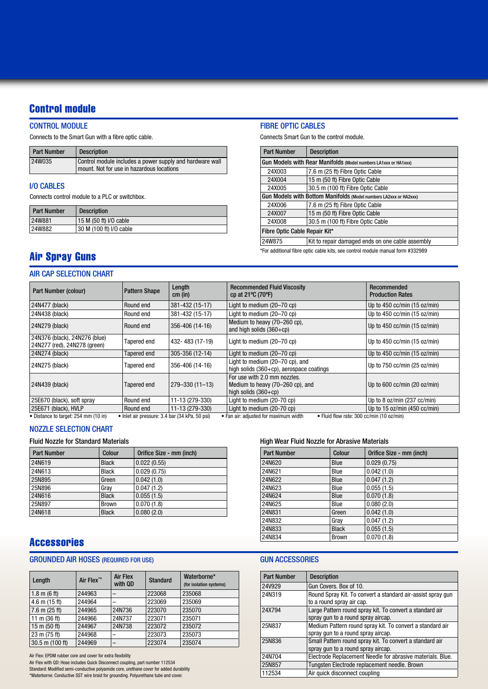### Control module

#### CONTROL MODULE

Connects to the Smart Gun with a fibre optic cable.

| <b>Part Number</b> | <b>Description</b>                                                                                    |
|--------------------|-------------------------------------------------------------------------------------------------------|
| 24W035             | Control module includes a power supply and hardware wall<br>mount. Not for use in hazardous locations |

#### I/O CABLES

Connects control module to a PLC or switchbox.

| <b>Part Number</b> | <b>Description</b>      |
|--------------------|-------------------------|
| 24W881             | 15 M (50 ft) I/O cable  |
| 24W882             | 30 M (100 ft) I/O cable |

#### FIBRE OPTIC CABLES

Connects Smart Gun to the control module.

| <b>Part Number</b>            | <b>Description</b>                                                |  |  |  |  |  |
|-------------------------------|-------------------------------------------------------------------|--|--|--|--|--|
|                               | Gun Models with Rear Manifolds (Model numbers LA1xxx or HA1xxx)   |  |  |  |  |  |
| 24X003                        | 7.6 m (25 ft) Fibre Optic Cable                                   |  |  |  |  |  |
| 24X004                        | 15 m (50 ft) Fibre Optic Cable                                    |  |  |  |  |  |
| 24X005                        | 30.5 m (100 ft) Fibre Optic Cable                                 |  |  |  |  |  |
|                               | Gun Models with Bottom Manifolds (Model numbers LA2xxx or HA2xxx) |  |  |  |  |  |
| 24X006                        | 7.6 m (25 ft) Fibre Optic Cable                                   |  |  |  |  |  |
| 24X007                        | 15 m (50 ft) Fibre Optic Cable                                    |  |  |  |  |  |
| 24X008                        | 30.5 m (100 ft) Fibre Optic Cable                                 |  |  |  |  |  |
| Fibre Optic Cable Repair Kit* |                                                                   |  |  |  |  |  |
| 24W875                        | Kit to repair damaged ends on one cable assembly                  |  |  |  |  |  |
|                               |                                                                   |  |  |  |  |  |

\*For additional fibre optic cable kits, see control module manual form #332989

### Air Spray Guns

#### AIR CAP SELECTION CHART

| Part Number (colour)                                          | <b>Pattern Shape</b>                           | Length<br>$cm$ (in)  | <b>Recommended Fluid Viscosity</b><br>cp at $21^{\circ}$ C (70 $^{\circ}$ F)                 | Recommended<br><b>Production Rates</b> |
|---------------------------------------------------------------|------------------------------------------------|----------------------|----------------------------------------------------------------------------------------------|----------------------------------------|
| 24N477 (black)                                                | Round end                                      | 381-432 (15-17)      | Light to medium (20-70 cp)                                                                   | Up to $450$ cc/min $(15$ oz/min)       |
| 24N438 (black)                                                | Round end                                      | 381-432 (15-17)      | Light to medium (20-70 cp)                                                                   | Up to 450 cc/min (15 oz/min)           |
| 24N279 (black)                                                | Round end                                      | 356-406 (14-16)      | Medium to heavy (70–260 cp),<br>and high solids $(360 + cp)$                                 | Up to 450 cc/min (15 oz/min)           |
| 24N376 (black), 24N276 (blue)<br>24N277 (red), 24N278 (green) | Tapered end                                    | 432-483 (17-19)      | Light to medium (20-70 cp)                                                                   | Up to 450 cc/min (15 oz/min)           |
| 24N274 (black)                                                | Tapered end                                    | 305-356 (12-14)      | Light to medium (20-70 cp)                                                                   | Up to 450 cc/min (15 oz/min)           |
| 24N275 (black)                                                | Tapered end                                    | 356-406 (14-16)      | Light to medium (20–70 cp), and<br>high solids (360+cp), aerospace coatings                  | Up to 750 cc/min (25 oz/min)           |
| 24N439 (black)                                                | Tapered end                                    | $279 - 330(11 - 13)$ | For use with 2.0 mm nozzles.<br>Medium to heavy (70–260 cp), and<br>high solids $(360 + cp)$ | Up to 600 cc/min (20 oz/min)           |
| 25E670 (black), soft spray                                    | Round end                                      | 11-13 (279-330)      | Light to medium (20-70 cp)                                                                   | Up to 8 oz/min (237 cc/min)            |
| 25E671 (black), HVLP                                          | Round end                                      | 11-13 (279-330)      | Light to medium (20-70 cp)                                                                   | Up to 15 oz/min (450 cc/min)           |
| • Distance to target: 254 mm (10 in)                          | • Inlet air pressure: 3.4 bar (34 kPa, 50 psi) |                      | • Fluid flow rate: 300 cc/min (10 oz/min)<br>• Fan air: adjusted for maximum width           |                                        |

#### NOZZLE SELECTION CHART

Fluid Nozzle for Standard Materials

| <b>Part Number</b> | Colour       | Orifice Size - mm (inch) |
|--------------------|--------------|--------------------------|
| 24N619             | <b>Black</b> | 0.022(0.55)              |
| 24N613             | <b>Black</b> | 0.029(0.75)              |
| 25N895             | Green        | 0.042(1.0)               |
| 25N896             | Gray         | 0.047(1.2)               |
| 24N616             | <b>Black</b> | 0.055(1.5)               |
| 25N897             | <b>Brown</b> | 0.070(1.8)               |
| 24N618             | <b>Black</b> | 0.080(2.0)               |

### Accessories

#### GROUNDED AIR HOSES (REQUIRED FOR USE) GUN ACCESSORIES

| Length                 | Air Flex™ | <b>Air Flex</b><br>with QD | <b>Standard</b> | Waterborne*<br>(for isolation systems) |
|------------------------|-----------|----------------------------|-----------------|----------------------------------------|
| $1.8 \text{ m}$ (6 ft) | 244963    |                            | 223068          | 235068                                 |
| $4.6$ m $(15$ ft)      | 244964    |                            | 223069          | 235069                                 |
| $7.6$ m ( $25$ ft)     | 244965    | 24N736                     | 223070          | 235070                                 |
| 11 m $(36 ft)$         | 244966    | 24N737                     | 223071          | 235071                                 |
| 15 m $(50 ft)$         | 244967    | 24N738                     | 223072          | 235072                                 |
| 23 m (75 ft)           | 244968    |                            | 223073          | 235073                                 |
| 30.5 m (100 ft)        | 244969    |                            | 223074          | 235074                                 |

Air Flex: EPDM rubber core and cover for extra flexibility Air Flex with QD: Hose includes Quick Disconnect coupling, part number 112534 Standard: Modified semi-conductive polyamide core, urethane cover for added durability \*Waterborne: Conductive SST wire braid for grounding. Polyurethane tube and cover.

High Wear Fluid Nozzle for Abrasive Materials

| <b>Part Number</b> | Colour       | Orifice Size - mm (inch) |
|--------------------|--------------|--------------------------|
| 24N620             | Blue         | 0.029(0.75)              |
| 24N621             | Blue         | 0.042(1.0)               |
| 24N622             | Blue         | 0.047(1.2)               |
| 24N623             | Blue         | 0.055(1.5)               |
| 24N624             | Blue         | 0.070(1.8)               |
| 24N625             | Blue         | 0.080(2.0)               |
| 24N831             | Green        | 0.042(1.0)               |
| 24N832             | Gray         | 0.047(1.2)               |
| 24N833             | <b>Black</b> | 0.055(1.5)               |
| 24N834             | <b>Brown</b> | 0.070(1.8)               |

| <b>Part Number</b> | <b>Description</b>                                                                              |
|--------------------|-------------------------------------------------------------------------------------------------|
| 24V929             | Gun Covers, Box of 10.                                                                          |
| 24N319             | Round Spray Kit. To convert a standard air-assist spray gun<br>to a round spray air cap.        |
| 24X794             | Large Pattern round spray kit. To convert a standard air<br>spray gun to a round spray aircap.  |
| 25N837             | Medium Pattern round spray kit. To convert a standard air<br>spray gun to a round spray aircap. |
| 25N836             | Small Pattern round spray kit. To convert a standard air<br>spray gun to a round spray aircap.  |
| 24N704             | Electrode Replacement Needle for abrasive materials. Blue.                                      |
| 25N857             | Tungsten Electrode replacement needle. Brown                                                    |
| 112534             | Air quick disconnect coupling                                                                   |